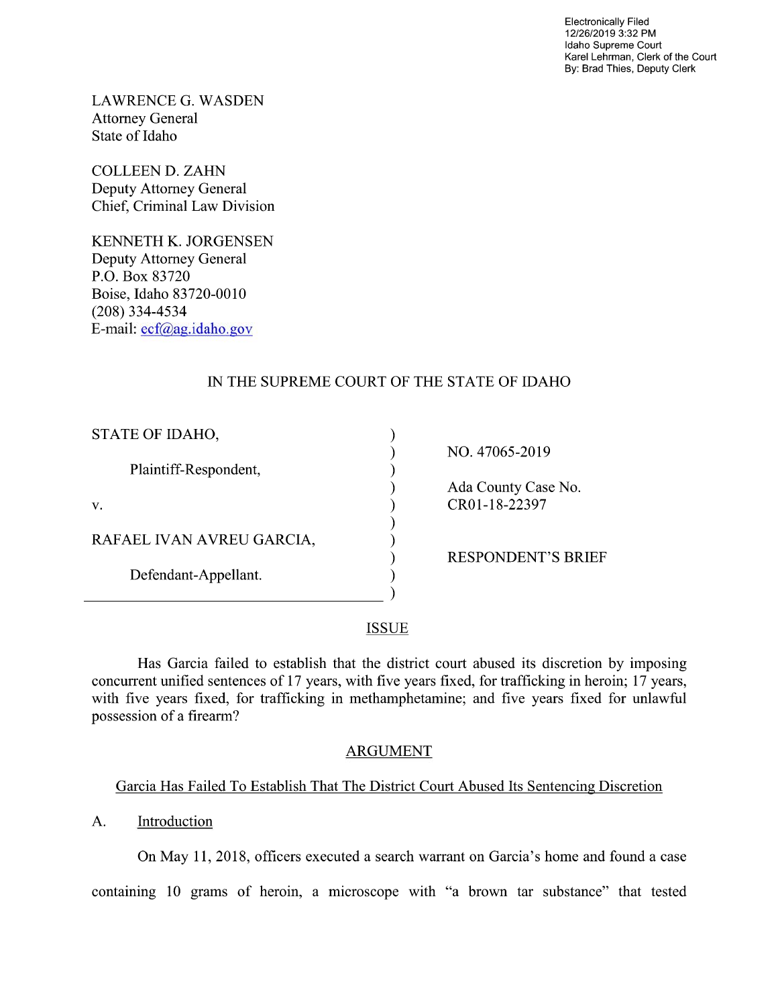Electronically Filed 12/26/2019 3:32 PM Idaho Supreme Court Karel Lehrman, Clerk of the Court By: Brad Thies, Deputy Clerk

LAWRENCE G. WASDEN Attorney General State of Idaho

COLLEEN D. ZAHN Deputy Attorney General Chief, Criminal Law Division

KENNETH K. JORGENSEN Deputy Attorney General P.O. Box 83720 Boise, Idaho 83720-0010 (208) 334—4534 E—mail: ecf@ag.idah0.gov

# IN THE SUPREME COURT OF THE STATE OF IDAHO

| STATE OF IDAHO,           |                           |
|---------------------------|---------------------------|
|                           | NO. 47065-2019            |
| Plaintiff-Respondent,     |                           |
|                           | Ada County Case No.       |
| v.                        | CR01-18-22397             |
|                           |                           |
| RAFAEL IVAN AVREU GARCIA, |                           |
|                           | <b>RESPONDENT'S BRIEF</b> |
| Defendant-Appellant.      |                           |
|                           |                           |

#### **ISSUE**

Has Garcia failed to establish that the district court abused its discretion by imposing concurrent unified sentences of 17 years, with five years fixed, for trafficking in heroin; 17 years, with five years fixed, for trafficking in methamphetamine; and five years fixed for unlawful possession of a firearm?

### ARGUMENT

### Garcia Has Failed To Establish That The District Court Abused Its Sentencing Discretion

A. Introduction

On May 11, 2018, officers executed a search warrant on Garcia's home and found a case

containing 10 grams of heroin, a microscope with "a brown tar substance" that tested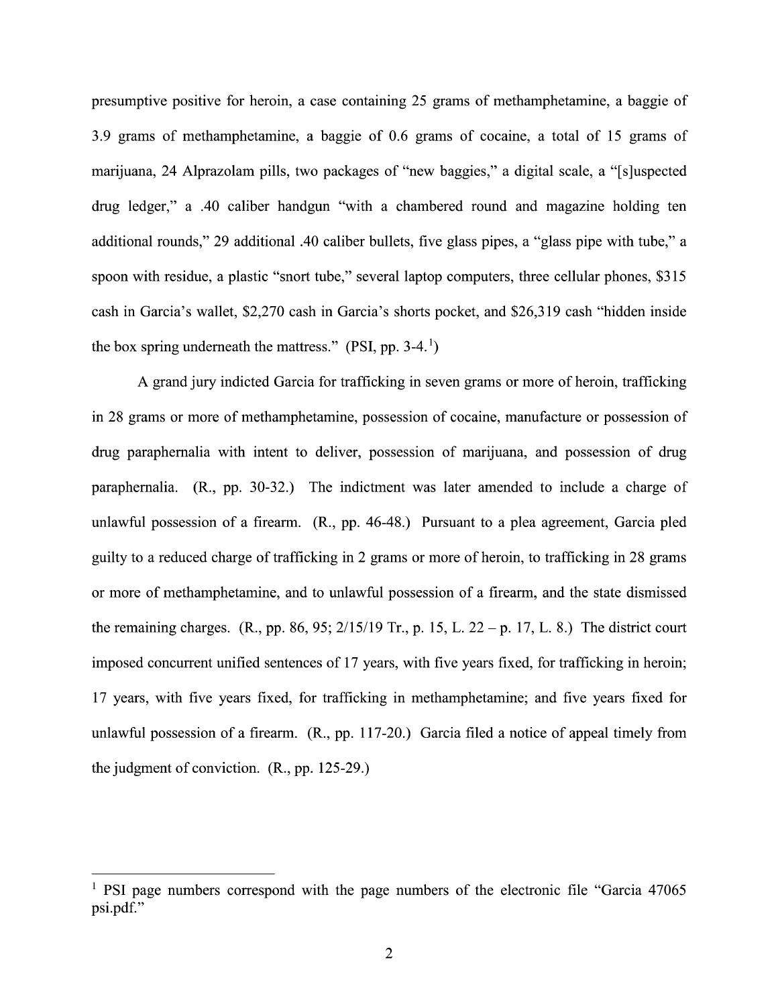presumptive positive for heroin, a case containing 25 grams of methamphetamine, a baggie of 3.9 grams of methamphetamine, a baggie of  $0.6$  grams of cocaine, a total of 15 grams of marijuana, 24 Alprazolam pills, two packages of "new baggies," a digital scale, a "[s]uspected drug ledger," a .40 caliber handgun "with a chambered round and magazine holding ten additional rounds," 29 additional .40 caliber bullets, five glass pipes, a "glass pipe with tube," a spoon with residue, a plastic "snort tube," several laptop computers, three cellular phones, \$315 cash in Garcia's wallet, \$2,270 cash in Garcia's shorts pocket, and \$26,319 cash "hidden inside the box spring underneath the mattress." (PSI, pp. 3-4.<sup>1</sup>)

A grand jury indicted Garcia for trafficking in seven grams or more of heroin, trafficking in 28 grams or more of methamphetamine, possession of cocaine, manufacture or possession 0f drug paraphernalia with intent to deliver, possession of marijuana, and possession of drug paraphernalia.  $(R_1, pp. 30-32)$  The indictment was later amended to include a charge of unlawful possession of a firearm.  $(R., pp. 46-48.)$  Pursuant to a plea agreement, Garcia pled guilty to a reduced charge of trafficking in 2 grams or more of heroin, to trafficking in 28 grams or more of methamphetamine, and to unlawful possession of a firearm, and the state dismissed the remaining charges. (R., pp. 86, 95;  $2/15/19$  Tr., p. 15, L. 22 – p. 17, L. 8.) The district court imposed concurrent unified sentences 0f 17 years, With five years fixed, for trafficking in heroin; 17 years, with five years fixed, for trafficking in methamphetamine; and five years fixed for unlawful possession of a firearm.  $(R., pp. 117-20.)$  Garcia filed a notice of appeal timely from the judgment 0f conviction. (R., pp. 125-29.)

<sup>&</sup>lt;sup>1</sup> PSI page numbers correspond with the page numbers of the electronic file "Garcia  $47065$ psi.pdf."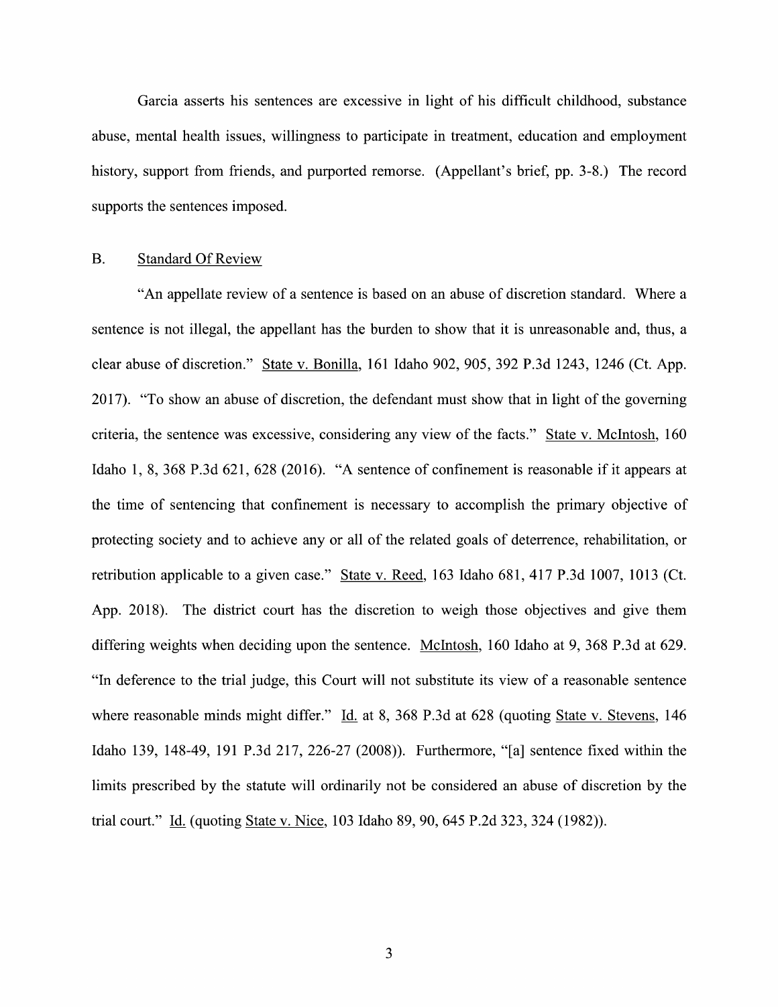Garcia asserts his sentences are excessive in light of his difficult childhood, substance abuse, mental health issues, willingness to participate in treatment, education and employment history, support from friends, and purported remorse. (Appellant's brief, pp. 3-8.) The record supports the sentences imposed.

#### B. Standard Of Review

"An appellate review of a sentence is based on an abuse of discretion standard. Where a sentence is not illegal, the appellant has the burden to show that it is unreasonable and, thus, a clear abuse of discretion." State V. Bonilla, 161 Idaho 902, 905, 392 P.3d 1243, 1246 (Ct. App. 2017). "T0 show an abuse of discretion, the defendant must show that in light of the governing criteria, the sentence was excessive, considering any view of the facts." State v. McIntosh, 160 Idaho 1, 8, <sup>368</sup> P.3d 621, <sup>628</sup> (2016). "A sentence of confinement is reasonable if it appears at the time of sentencing that confinement is necessary to accomplish the primary objective of protecting society and to achieve any or all 0f the related goals 0f deterrence, rehabilitation, or retribution applicable to a given case." State v. Reed, 163 Idaho 681, 417 P.3d 1007, 1013 (Ct. App. 2018). The district court has the discretion to weigh those objectives and give them differing weights when deciding upon the sentence. McIntosh, 160 Idaho at 9, 368 P.3d at 629. "In deference to the trial judge, this Court will not substitute its view of a reasonable sentence where reasonable minds might differ." Id. at 8, 368 P.3d at 628 (quoting State v. Stevens, 146 Idaho 139, 148-49, 191 P.3d 217, 226-27 (2008)). Furthermore, "[a] sentence fixed Within the limits prescribed by the statute will ordinarily not be considered an abuse of discretion by the trial court." Id. (quoting State v. Nice, 103 Idaho 89, 90, 645 P.2d 323, 324 (1982)).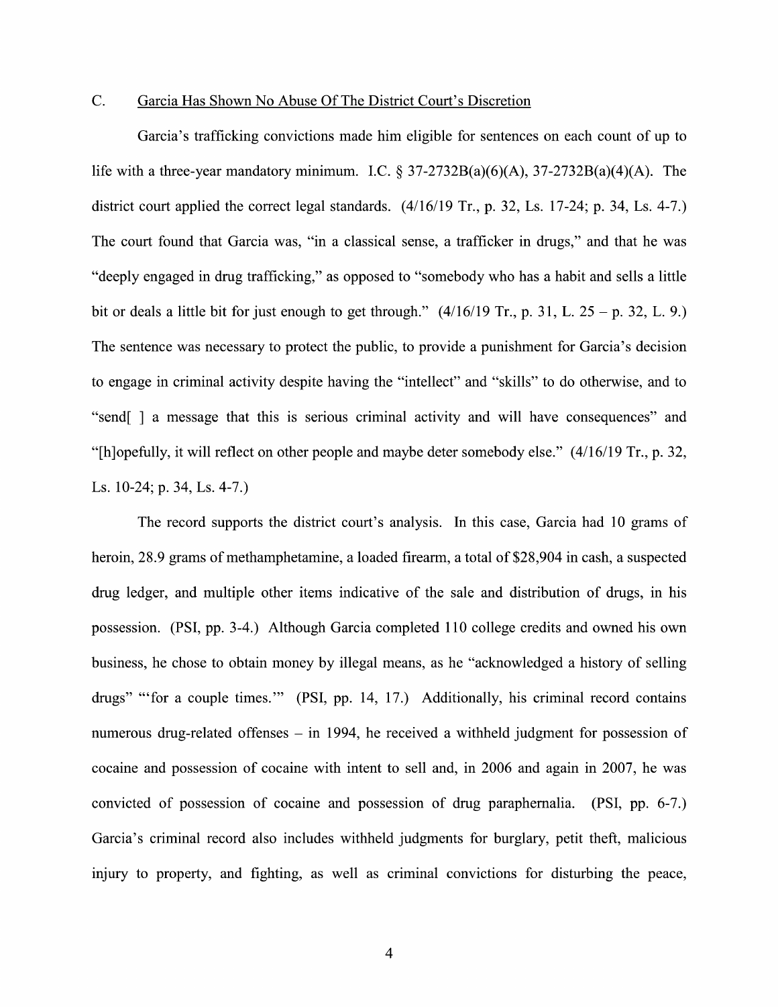#### C. Garcia Has Shown N0 Abuse Of The District Court's Discretion

Garcia's trafficking convictions made him eligible for sentences 0n each count of up to life with a three-year mandatory minimum. I.C.  $\S 37-2732B(a)(6)(A)$ ,  $37-2732B(a)(4)(A)$ . The district court applied the correct legal standards.  $(4/16/19$  Tr., p. 32, Ls. 17-24; p. 34, Ls. 4-7.) The court found that Garcia was, "in a classical sense, a trafficker in drugs," and that he was "deeply engaged in drug trafficking," as opposed to "somebody who has a habit and sells a little bit or deals a little bit for just enough to get through."  $(4/16/19 \text{ Tr.}, p. 31, L. 25 - p. 32, L. 9.)$ The sentence was necessary to protect the public, to provide a punishment for Garcia's decision to engage in criminal activity despite having the "intellect" and "skills" to do otherwise, and to "send[ ] a message that this is serious criminal activity and will have consequences" and "[h]opefi111y, it will reflect 0n other people and maybe deter somebody else." (4/16/19 Tr., p. 32, Ls. 10-24; p. 34, Ls. 4-7.)

The record supports the district court's analysis. In this case, Garcia had 10 grams of heroin,  $28.9$  grams of methamphetamine, a loaded firearm, a total of  $28,904$  in cash, a suspected drug ledger, and multiple other items indicative of the sale and distribution of drugs, in his possession. (PSI, pp. 3-4.) Although Garcia completed 110 college credits and owned his own business, he chose to obtain money by illegal means, as he "acknowledged a history of selling drugs" "'for a couple times."" (PSI, pp. 14, 17.) Additionally, his criminal record contains numerous drug-related offenses  $-$  in 1994, he received a withheld judgment for possession of cocaine and possession of cocaine With intent to sell and, in <sup>2006</sup> and again in 2007, he was convicted of possession 0f cocaine and possession of drug paraphernalia. (PSI, pp. 6-7.) Garcia's criminal record also includes withheld judgments for burglary, petit theft, malicious injury to property, and fighting, as well as criminal convictions for disturbing the peace,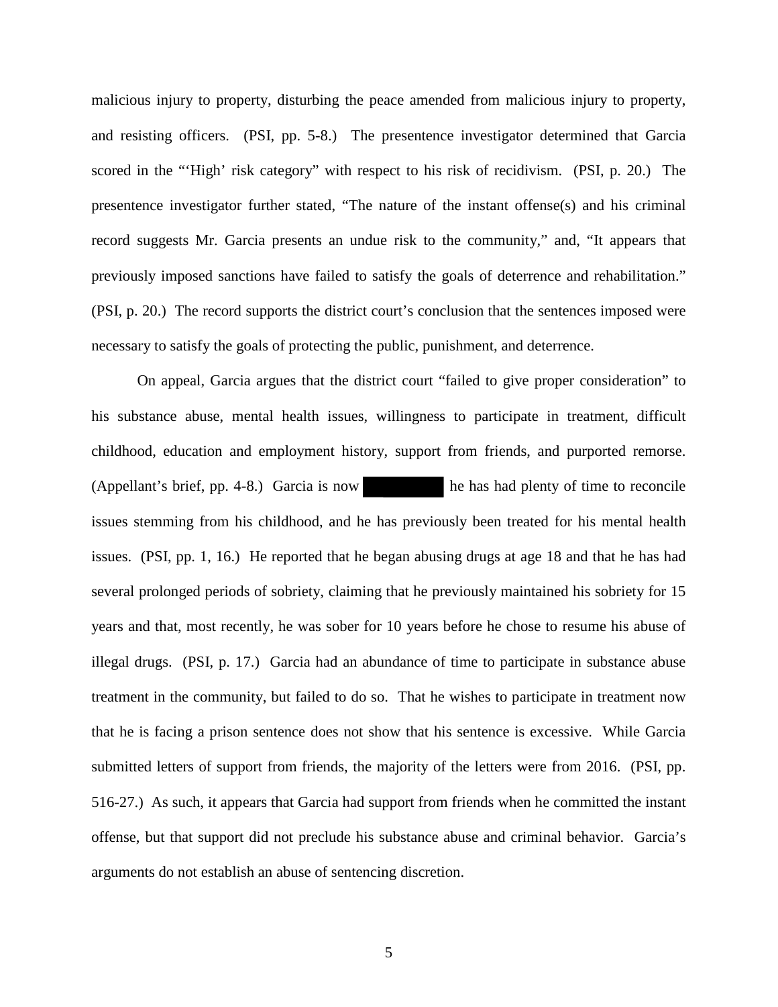malicious injury to property, disturbing the peace amended from malicious injury to property, and resisting officers. (PSI, pp. 5-8.) The presentence investigator determined that Garcia scored in the "'High' risk category" with respect to his risk of recidivism. (PSI, p. 20.) The presentence investigator further stated, "The nature of the instant offense(s) and his criminal record suggests Mr. Garcia presents an undue risk to the community," and, "It appears that previously imposed sanctions have failed to satisfy the goals of deterrence and rehabilitation." (PSI, p. 20.) The record supports the district court's conclusion that the sentences imposed were necessary to satisfy the goals of protecting the public, punishment, and deterrence.

On appeal, Garcia argues that the district court "failed to give proper consideration" to his substance abuse, mental health issues, willingness to participate in treatment, difficult childhood, education and employment history, support from friends, and purported remorse. (Appellant's brief, pp. 4-8.) Garcia is now he has had plenty of time to reconcile issues stemming from his childhood, and he has previously been treated for his mental health issues. (PSI, pp. 1, 16.) He reported that he began abusing drugs at age 18 and that he has had several prolonged periods of sobriety, claiming that he previously maintained his sobriety for 15 years and that, most recently, he was sober for 10 years before he chose to resume his abuse of illegal drugs. (PSI, p. 17.) Garcia had an abundance of time to participate in substance abuse treatment in the community, but failed to do so. That he wishes to participate in treatment now that he is facing a prison sentence does not show that his sentence is excessive. While Garcia submitted letters of support from friends, the majority of the letters were from 2016. (PSI, pp. 516-27.) As such, it appears that Garcia had support from friends when he committed the instant offense, but that support did not preclude his substance abuse and criminal behavior. Garcia's arguments do not establish an abuse of sentencing discretion.